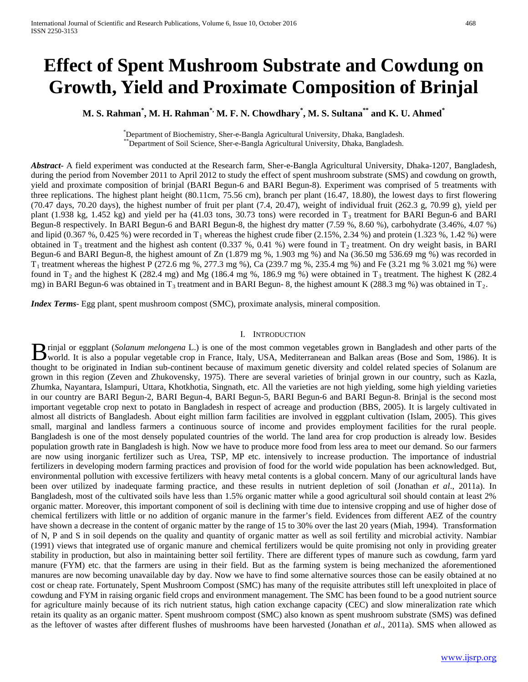# **Effect of Spent Mushroom Substrate and Cowdung on Growth, Yield and Proximate Composition of Brinjal**

**M. S. Rahman\* , M. H. Rahman\*, M. F. N. Chowdhary\* , M. S. Sultana\*\* and K. U. Ahmed\***

\*Department of Biochemistry, Sher-e-Bangla Agricultural University, Dhaka, Bangladesh. \*\*Department of Soil Science, Sher-e-Bangla Agricultural University, Dhaka, Bangladesh.

*Abstract***-** A field experiment was conducted at the Research farm, Sher-e-Bangla Agricultural University, Dhaka-1207, Bangladesh, during the period from November 2011 to April 2012 to study the effect of spent mushroom substrate (SMS) and cowdung on growth, yield and proximate composition of brinjal (BARI Begun-6 and BARI Begun-8). Experiment was comprised of 5 treatments with three replications. The highest plant height (80.11cm, 75.56 cm), branch per plant (16.47, 18.80), the lowest days to first flowering (70.47 days, 70.20 days), the highest number of fruit per plant (7.4, 20.47), weight of individual fruit (262.3 g, 70.99 g), yield per plant (1.938 kg, 1.452 kg) and yield per ha (41.03 tons, 30.73 tons) were recorded in  $T_3$  treatment for BARI Begun-6 and BARI Begun-8 respectively. In BARI Begun-6 and BARI Begun-8, the highest dry matter (7.59 %, 8.60 %), carbohydrate (3.46%, 4.07 %) and lipid  $(0.367 \%, 0.425 \%)$  were recorded in T<sub>1</sub> whereas the highest crude fiber  $(2.15 \%, 2.34 \%)$  and protein  $(1.323 \%, 1.42 \%)$  were obtained in  $T_3$  treatment and the highest ash content (0.337 %, 0.41 %) were found in  $T_2$  treatment. On dry weight basis, in BARI Begun-6 and BARI Begun-8, the highest amount of Zn (1.879 mg %, 1.903 mg %) and Na (36.50 mg 536.69 mg %) was recorded in  $T_1$  treatment whereas the highest P (272.6 mg %, 277.3 mg %), Ca (239.7 mg %, 235.4 mg %) and Fe (3.21 mg % 3.021 mg %) were found in  $T_2$  and the highest K (282.4 mg) and Mg (186.4 mg %, 186.9 mg %) were obtained in  $T_3$  treatment. The highest K (282.4 mg) in BARI Begun-6 was obtained in  $T_3$  treatment and in BARI Begun- 8, the highest amount K (288.3 mg %) was obtained in  $T_2$ .

*Index Terms*- Egg plant, spent mushroom compost (SMC), proximate analysis, mineral composition.

#### I. INTRODUCTION

rinjal or eggplant (*Solanum melongena* L.) is one of the most common vegetables grown in Bangladesh and other parts of the **B** rinjal or eggplant (Solanum melongena L.) is one of the most common vegetables grown in Bangladesh and other parts of the world. It is also a popular vegetable crop in France, Italy, USA, Mediterranean and Balkan areas thought to be originated in Indian sub-continent because of maximum genetic diversity and coldel related species of Solanum are grown in this region (Zeven and Zhukovensky, 1975). There are several varieties of brinjal grown in our country, such as Kazla, Zhumka, Nayantara, Islampuri, Uttara, Khotkhotia, Singnath, etc. All the varieties are not high yielding, some high yielding varieties in our country are BARI Begun-2, BARI Begun-4, BARI Begun-5, BARI Begun-6 and BARI Begun-8. Brinjal is the second most important vegetable crop next to potato in Bangladesh in respect of acreage and production (BBS, 2005). It is largely cultivated in almost all districts of Bangladesh. About eight million farm facilities are involved in eggplant cultivation (Islam, 2005). This gives small, marginal and landless farmers a continuous source of income and provides employment facilities for the rural people. Bangladesh is one of the most densely populated countries of the world. The land area for crop production is already low. Besides population growth rate in Bangladesh is high. Now we have to produce more food from less area to meet our demand. So our farmers are now using inorganic fertilizer such as Urea, TSP, MP etc. intensively to increase production. The importance of industrial fertilizers in developing modern farming practices and provision of food for the world wide population has been acknowledged. But, environmental pollution with excessive fertilizers with heavy metal contents is a global concern. Many of our agricultural lands have been over utilized by inadequate farming practice, and these results in nutrient depletion of soil (Jonathan *et al*., 2011a). In Bangladesh, most of the cultivated soils have less than 1.5% organic matter while a good agricultural soil should contain at least 2% organic matter. Moreover, this important component of soil is declining with time due to intensive cropping and use of higher dose of chemical fertilizers with little or no addition of organic manure in the farmer's field. Evidences from different AEZ of the country have shown a decrease in the content of organic matter by the range of 15 to 30% over the last 20 years (Miah, 1994). Transformation of N, P and S in soil depends on the quality and quantity of organic matter as well as soil fertility and microbial activity. Nambiar (1991) views that integrated use of organic manure and chemical fertilizers would be quite promising not only in providing greater stability in production, but also in maintaining better soil fertility. There are different types of manure such as cowdung, farm yard manure (FYM) etc. that the farmers are using in their field. But as the farming system is being mechanized the aforementioned manures are now becoming unavailable day by day. Now we have to find some alternative sources those can be easily obtained at no cost or cheap rate. Fortunately, Spent Mushroom Compost (SMC) has many of the requisite attributes still left unexploited in place of cowdung and FYM in raising organic field crops and environment management. The SMC has been found to be a good nutrient source for agriculture mainly because of its rich nutrient status, high cation exchange capacity (CEC) and slow mineralization rate which retain its quality as an organic matter. Spent mushroom compost (SMC) also known as spent mushroom substrate (SMS) was defined as the leftover of wastes after different flushes of mushrooms have been harvested (Jonathan *et al*., 2011a). SMS when allowed as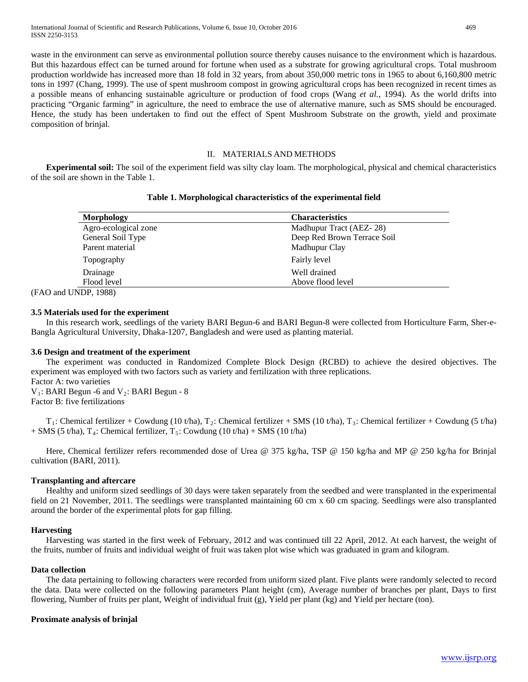waste in the environment can serve as environmental pollution source thereby causes nuisance to the environment which is hazardous. But this hazardous effect can be turned around for fortune when used as a substrate for growing agricultural crops. Total mushroom production worldwide has increased more than 18 fold in 32 years, from about 350,000 metric tons in 1965 to about 6,160,800 metric tons in 1997 (Chang, 1999). The use of spent mushroom compost in growing agricultural crops has been recognized in recent times as a possible means of enhancing sustainable agriculture or production of food crops (Wang *et al.*, 1994). As the world drifts into practicing "Organic farming" in agriculture, the need to embrace the use of alternative manure, such as SMS should be encouraged. Hence, the study has been undertaken to find out the effect of Spent Mushroom Substrate on the growth, yield and proximate composition of brinjal.

#### II. MATERIALS AND METHODS

 **Experimental soil:** The soil of the experiment field was silty clay loam. The morphological, physical and chemical characteristics of the soil are shown in the Table 1.

#### **Table 1. Morphological characteristics of the experimental field**

| Morphology           | <b>Characteristics</b>      |
|----------------------|-----------------------------|
| Agro-ecological zone | Madhupur Tract (AEZ-28)     |
| General Soil Type    | Deep Red Brown Terrace Soil |
| Parent material      | Madhupur Clay               |
| Topography           | Fairly level                |
| Drainage             | Well drained                |
| Flood level          | Above flood level           |

(FAO and UNDP, 1988)

## **3.5 Materials used for the experiment**

In this research work, seedlings of the variety BARI Begun-6 and BARI Begun-8 were collected from Horticulture Farm, Sher-e-Bangla Agricultural University, Dhaka-1207, Bangladesh and were used as planting material.

## **3.6 Design and treatment of the experiment**

The experiment was conducted in Randomized Complete Block Design (RCBD) to achieve the desired objectives. The experiment was employed with two factors such as variety and fertilization with three replications. Factor A: two varieties

 $V_1$ : BARI Begun -6 and  $V_2$ : BARI Begun - 8 Factor B: five fertilizations

 $T_1$ : Chemical fertilizer + Cowdung (10 t/ha),  $T_2$ : Chemical fertilizer + SMS (10 t/ha),  $T_3$ : Chemical fertilizer + Cowdung (5 t/ha)  $+$  SMS (5 t/ha), T<sub>4</sub>: Chemical fertilizer, T<sub>5</sub>: Cowdung (10 t/ha)  $+$  SMS (10 t/ha)

Here, Chemical fertilizer refers recommended dose of Urea @ 375 kg/ha, TSP @ 150 kg/ha and MP @ 250 kg/ha for Brinjal cultivation (BARI, 2011).

## **Transplanting and aftercare**

Healthy and uniform sized seedlings of 30 days were taken separately from the seedbed and were transplanted in the experimental field on 21 November, 2011. The seedlings were transplanted maintaining 60 cm x 60 cm spacing. Seedlings were also transplanted around the border of the experimental plots for gap filling.

## **Harvesting**

Harvesting was started in the first week of February, 2012 and was continued till 22 April, 2012. At each harvest, the weight of the fruits, number of fruits and individual weight of fruit was taken plot wise which was graduated in gram and kilogram.

#### **Data collection**

The data pertaining to following characters were recorded from uniform sized plant. Five plants were randomly selected to record the data. Data were collected on the following parameters Plant height (cm), Average number of branches per plant, Days to first flowering, Number of fruits per plant, Weight of individual fruit (g), Yield per plant (kg) and Yield per hectare (ton).

## **Proximate analysis of brinjal**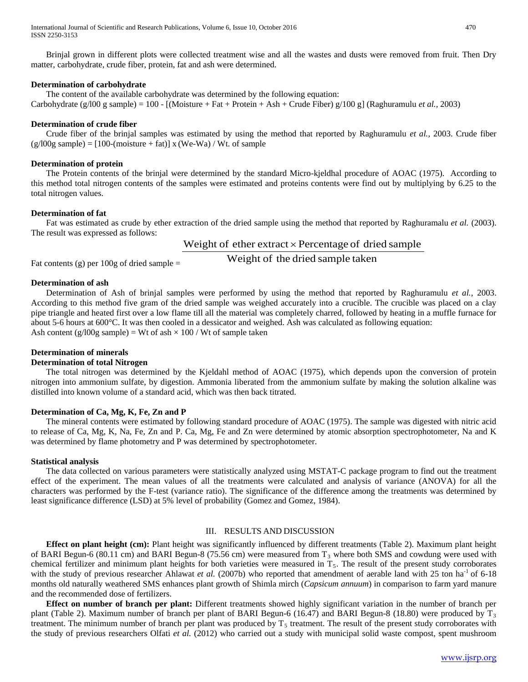Brinjal grown in different plots were collected treatment wise and all the wastes and dusts were removed from fruit. Then Dry matter, carbohydrate, crude fiber, protein, fat and ash were determined.

#### **Determination of carbohydrate**

The content of the available carbohydrate was determined by the following equation: Carbohydrate (g/l00 g sample) = 100 - [(Moisture + Fat + Protein + Ash + Crude Fiber) g/100 g] (Raghuramulu *et al.,* 2003)

#### **Determination of crude fiber**

Crude fiber of the brinjal samples was estimated by using the method that reported by Raghuramulu *et al.*, 2003. Crude fiber  $(g/100g \text{ sample}) = [100-(\text{moisture} + \text{fat})] x (We-Wa) / Wt.$  of sample

#### **Determination of protein**

The Protein contents of the brinjal were determined by the standard Micro-kjeldhal procedure of AOAC (1975). According to this method total nitrogen contents of the samples were estimated and proteins contents were find out by multiplying by 6.25 to the total nitrogen values.

#### **Determination of fat**

Fat was estimated as crude by ether extraction of the dried sample using the method that reported by Raghuramalu *et al.* (2003). The result was expressed as follows:

## Weight of ether extract  $\times$  Percentage of dried sample

Fat contents (g) per 100g of dried sample = Weight of the dried sample taken

#### **Determination of ash**

Determination of Ash of brinjal samples were performed by using the method that reported by Raghuramulu *et al.*, 2003. According to this method five gram of the dried sample was weighed accurately into a crucible. The crucible was placed on a clay pipe triangle and heated first over a low flame till all the material was completely charred, followed by heating in a muffle furnace for about 5-6 hours at 600°C. It was then cooled in a dessicator and weighed. Ash was calculated as following equation: Ash content (g/l00g sample) = Wt of ash  $\times$  100 / Wt of sample taken

## **Determination of minerals**

# **Determination of total Nitrogen**

The total nitrogen was determined by the Kjeldahl method of AOAC (1975), which depends upon the conversion of protein nitrogen into ammonium sulfate, by digestion. Ammonia liberated from the ammonium sulfate by making the solution alkaline was distilled into known volume of a standard acid, which was then back titrated.

## **Determination of Ca, Mg, K, Fe, Zn and P**

The mineral contents were estimated by following standard procedure of AOAC (1975). The sample was digested with nitric acid to release of Ca, Mg, K, Na, Fe, Zn and P. Ca, Mg, Fe and Zn were determined by atomic absorption spectrophotometer, Na and K was determined by flame photometry and P was determined by spectrophotometer.

## **Statistical analysis**

The data collected on various parameters were statistically analyzed using MSTAT-C package program to find out the treatment effect of the experiment. The mean values of all the treatments were calculated and analysis of variance (ANOVA) for all the characters was performed by the F-test (variance ratio). The significance of the difference among the treatments was determined by least significance difference (LSD) at 5% level of probability (Gomez and Gomez, 1984).

## III. RESULTS AND DISCUSSION

 **Effect on plant height (cm):** Plant height was significantly influenced by different treatments (Table 2). Maximum plant height of BARI Begun-6 (80.11 cm) and BARI Begun-8 (75.56 cm) were measured from  $T_3$  where both SMS and cowdung were used with chemical fertilizer and minimum plant heights for both varieties were measured in  $T_5$ . The result of the present study corroborates with the study of previous researcher Ahlawat *et al.* (2007b) who reported that amendment of aerable land with 25 ton ha<sup>-1</sup> of 6-18 months old naturally weathered SMS enhances plant growth of Shimla mirch (*Capsicum annuum*) in comparison to farm yard manure and the recommended dose of fertilizers.

 **Effect on number of branch per plant:** Different treatments showed highly significant variation in the number of branch per plant (Table 2). Maximum number of branch per plant of BARI Begun-6 (16.47) and BARI Begun-8 (18.80) were produced by  $T_3$ treatment. The minimum number of branch per plant was produced by  $T<sub>5</sub>$  treatment. The result of the present study corroborates with the study of previous researchers Olfati *et al.* (2012) who carried out a study with municipal solid waste compost, spent mushroom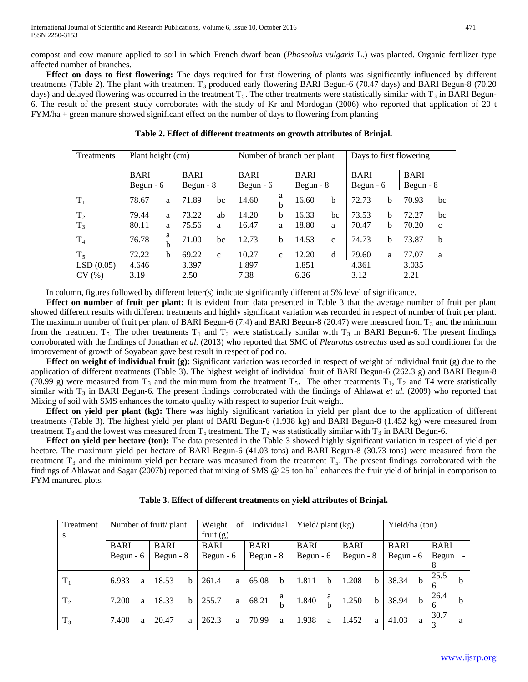compost and cow manure applied to soil in which French dwarf bean (*Phaseolus vulgaris* L.) was planted. Organic fertilizer type affected number of branches.

 **Effect on days to first flowering:** The days required for first flowering of plants was significantly influenced by different treatments (Table 2). The plant with treatment  $T_3$  produced early flowering BARI Begun-6 (70.47 days) and BARI Begun-8 (70.20 days) and delayed flowering was occurred in the treatment  $T_5$ . The other treatments were statistically similar with  $T_3$  in BARI Begun-6. The result of the present study corroborates with the study of Kr and Mordogan (2006) who reported that application of 20 t FYM/ha + green manure showed significant effect on the number of days to flowering from planting

| <b>Treatments</b> | Plant height (cm) |            |             |              |             |              | Number of branch per plant | Days to first flowering |             |            |             |              |
|-------------------|-------------------|------------|-------------|--------------|-------------|--------------|----------------------------|-------------------------|-------------|------------|-------------|--------------|
|                   | <b>BARI</b>       |            | <b>BARI</b> |              | <b>BARI</b> |              | <b>BARI</b>                |                         | <b>BARI</b> |            | <b>BARI</b> |              |
|                   |                   | Begun $-6$ |             | Begun $-8$   |             | Begun $-6$   |                            | Begun $-8$              |             | Begun $-6$ | Begun - $8$ |              |
| $T_1$             | 78.67             | a          | 71.89       | bc           | 14.60       | a<br>b       | 16.60                      | b                       | 72.73       | b          | 70.93       | bc           |
| T <sub>2</sub>    | 79.44             | a          | 73.22       | ab           | 14.20       | b            | 16.33                      | bc                      | 73.53       | b          | 72.27       | bc           |
| $T_3$             | 80.11             | a          | 75.56       | a            | 16.47       | a            | 18.80                      | a                       | 70.47       | b          | 70.20       | $\mathbf{c}$ |
| T <sub>4</sub>    | 76.78             | a<br>b     | 71.00       | bc           | 12.73       | b            | 14.53                      | $\mathbf{c}$            | 74.73       | b          | 73.87       | b            |
| $T_5$             | 72.22             | b          | 69.22       | $\mathbf{C}$ | 10.27       | $\mathbf{C}$ | 12.20                      | d                       | 79.60       | a          | 77.07       | a            |
| LSD(0.05)         | 4.646             |            | 3.397       |              | 1.897       |              | 1.851                      |                         | 4.361       |            | 3.035       |              |
| CV(%)             | 3.19              |            | 2.50        |              | 7.38        |              | 6.26                       |                         | 3.12        |            | 2.21        |              |

### **Table 2. Effect of different treatments on growth attributes of Brinjal.**

In column, figures followed by different letter(s) indicate significantly different at 5% level of significance.

 **Effect on number of fruit per plant:** It is evident from data presented in Table 3 that the average number of fruit per plant showed different results with different treatments and highly significant variation was recorded in respect of number of fruit per plant. The maximum number of fruit per plant of BARI Begun-6 (7.4) and BARI Begun-8 (20.47) were measured from  $T_3$  and the minimum from the treatment  $T_5$ . The other treatments  $T_1$  and  $T_2$  were statistically similar with  $T_3$  in BARI Begun-6. The present findings corroborated with the findings of Jonathan *et al.* (2013) who reported that SMC of *Pleurotus ostreatus* used as soil conditioner for the improvement of growth of Soyabean gave best result in respect of pod no.

 **Effect on weight of individual fruit (g):** Significant variation was recorded in respect of weight of individual fruit (g) due to the application of different treatments (Table 3). The highest weight of individual fruit of BARI Begun-6 (262.3 g) and BARI Begun-8 (70.99 g) were measured from  $T_3$  and the minimum from the treatment  $T_5$ . The other treatments  $T_1$ ,  $T_2$  and T4 were statistically similar with  $T_3$  in BARI Begun-6. The present findings corroborated with the findings of Ahlawat *et al.* (2009) who reported that Mixing of soil with SMS enhances the tomato quality with respect to superior fruit weight.

 **Effect on yield per plant (kg):** There was highly significant variation in yield per plant due to the application of different treatments (Table 3). The highest yield per plant of BARI Begun-6 (1.938 kg) and BARI Begun-8 (1.452 kg) were measured from treatment T<sub>3</sub> and the lowest was measured from T<sub>5</sub> treatment. The T<sub>2</sub> was statistically similar with T<sub>3</sub> in BARI Begun-6.

 **Effect on yield per hectare (ton):** The data presented in the Table 3 showed highly significant variation in respect of yield per hectare. The maximum yield per hectare of BARI Begun-6 (41.03 tons) and BARI Begun-8 (30.73 tons) were measured from the treatment  $T_3$  and the minimum yield per hectare was measured from the treatment  $T_5$ . The present findings corroborated with the findings of Ahlawat and Sagar (2007b) reported that mixing of SMS @ 25 ton ha<sup>-1</sup> enhances the fruit yield of brinjal in comparison to FYM manured plots.

| Treatment      |             |   | Number of fruit/ plant |              | Weight      | of | individual  |   | Yield/ $plan (kg)$ |   |             |             | Yield/ha (ton) |             |             |              |
|----------------|-------------|---|------------------------|--------------|-------------|----|-------------|---|--------------------|---|-------------|-------------|----------------|-------------|-------------|--------------|
| S.             |             |   |                        |              | fruit $(g)$ |    |             |   |                    |   |             |             |                |             |             |              |
|                | <b>BARI</b> |   | <b>BARI</b>            |              | <b>BARI</b> |    | <b>BARI</b> |   | <b>BARI</b>        |   | <b>BARI</b> |             | <b>BARI</b>    |             | <b>BARI</b> |              |
|                | Begun $-6$  |   | Begun $-8$             |              | Begun $-6$  |    | Begun $-8$  |   | Begun $-6$         |   | Begun $-8$  |             | Begun $-6$     |             | Begun       |              |
|                |             |   |                        |              |             |    |             |   |                    |   |             |             |                |             |             |              |
| $T_1$          | 6.933       | a | 18.53                  | h.           | 261.4       | a  | 65.08       | b | 1.811              | b | 1.208       | $\mathbf b$ | 38.34          | $\mathbf b$ | 25.5        | <sub>b</sub> |
|                |             |   |                        |              |             |    |             |   |                    |   |             |             |                |             |             |              |
| T <sub>2</sub> | 7.200       | a | 18.33                  | <sub>b</sub> | 255.7       | a  | 68.21       | a | 1.840              | a | 1.250       | $\mathbf b$ | 38.94          | $\mathbf b$ | 26.4        | <sub>b</sub> |
|                |             |   |                        |              |             |    |             |   |                    |   |             |             |                |             |             |              |
| $T_3$          | 7.400       | a | 20.47                  | a            | 262.3       | a  | 70.99       | a | 1.938              | a | 1.452       | a           | 41.03          | a           | 30.7        | а            |
|                |             |   |                        |              |             |    |             |   |                    |   |             |             |                |             | $\sim$      |              |

**Table 3. Effect of different treatments on yield attributes of Brinjal.**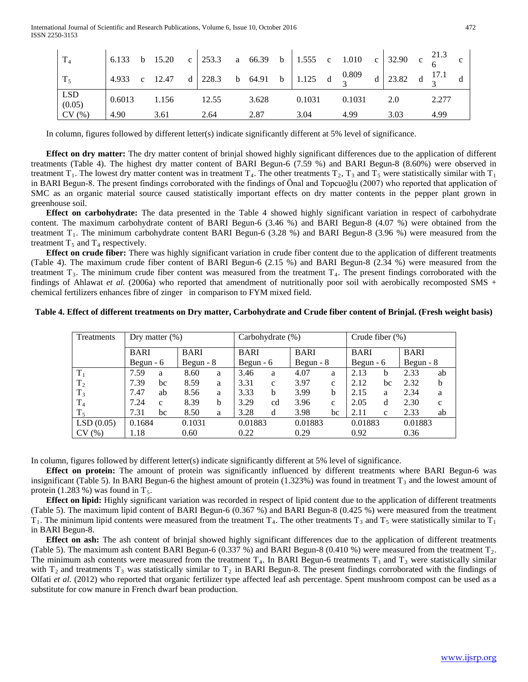| $T_4$           |      |              |       |       |        | 6.133 b 15.20 c 253.3 a 66.39 b 1.555 c 1.010 c 32.90 c $\frac{21.3}{6}$                                                                                                                                                             |      |       |  |
|-----------------|------|--------------|-------|-------|--------|--------------------------------------------------------------------------------------------------------------------------------------------------------------------------------------------------------------------------------------|------|-------|--|
| $T_5$           |      |              |       |       |        | $\begin{vmatrix} 4.933 & c & 12.47 \end{vmatrix}$ a $\begin{vmatrix} 228.3 & b & 64.91 \end{vmatrix}$ b $\begin{vmatrix} 1.125 & d & \frac{0.809}{3} & d \end{vmatrix}$ a $\begin{vmatrix} 23.82 & d & \frac{17.1}{3} \end{vmatrix}$ |      |       |  |
| $LSD$<br>(0.05) |      | 0.6013 1.156 | 12.55 | 3.628 | 0.1031 | 0.1031                                                                                                                                                                                                                               | 2.0  | 2.277 |  |
| CV(%)           | 4.90 | 3.61         | 2.64  | 2.87  | 3.04   | 4.99                                                                                                                                                                                                                                 | 3.03 | 4.99  |  |

In column, figures followed by different letter(s) indicate significantly different at 5% level of significance.

 **Effect on dry matter:** The dry matter content of brinjal showed highly significant differences due to the application of different treatments (Table 4). The highest dry matter content of BARI Begun-6 (7.59 %) and BARI Begun-8 (8.60%) were observed in treatment T<sub>1</sub>. The lowest dry matter content was in treatment T<sub>4</sub>. The other treatments T<sub>2</sub>, T<sub>3</sub> and T<sub>5</sub> were statistically similar with T<sub>1</sub> in BARI Begun-8. The present findings corroborated with the findings of Önal and Topcuoğlu (2007) who reported that application of SMC as an organic material source caused statistically important effects on dry matter contents in the pepper plant grown in greenhouse soil.

 **Effect on carbohydrate:** The data presented in the Table 4 showed highly significant variation in respect of carbohydrate content. The maximum carbohydrate content of BARI Begun-6 (3.46 %) and BARI Begun-8 (4.07 %) were obtained from the treatment  $T_1$ . The minimum carbohydrate content BARI Begun-6 (3.28 %) and BARI Begun-8 (3.96 %) were measured from the treatment  $T_5$  and  $T_4$  respectively.

 **Effect on crude fiber:** There was highly significant variation in crude fiber content due to the application of different treatments (Table 4). The maximum crude fiber content of BARI Begun-6 (2.15 %) and BARI Begun-8 (2.34 %) were measured from the treatment  $T_3$ . The minimum crude fiber content was measured from the treatment  $T_4$ . The present findings corroborated with the findings of Ahlawat *et al.* (2006a) who reported that amendment of nutritionally poor soil with aerobically recomposted SMS + chemical fertilizers enhances fibre of zinger in comparison to FYM mixed field.

## **Table 4. Effect of different treatments on Dry matter, Carbohydrate and Crude fiber content of Brinjal. (Fresh weight basis)**

| Treatments     |             | Dry matter $(\%)$ |             |            |             | Carbohydrate (%) |             |              | Crude fiber $(\%)$ |              |             |              |  |  |
|----------------|-------------|-------------------|-------------|------------|-------------|------------------|-------------|--------------|--------------------|--------------|-------------|--------------|--|--|
|                | <b>BARI</b> |                   | <b>BARI</b> |            | <b>BARI</b> |                  | <b>BARI</b> |              | <b>BARI</b>        |              | <b>BARI</b> |              |  |  |
|                |             | Begun $-6$        |             | Begun $-8$ |             | Begun $-6$       |             | Begun $-8$   |                    | Begun $-6$   |             | Begun $-8$   |  |  |
| $T_1$          | 7.59        | 8.60<br>a         |             | a          | 3.46        | a                | 4.07        | a            | 2.13               | b            | 2.33        | ab           |  |  |
| T <sub>2</sub> | 7.39        | bc                | 8.59        | a          | 3.31        | $\mathbf{C}$     | 3.97        | $\mathbf{c}$ | 2.12               | bc           | 2.32        | b            |  |  |
| $T_3$          | 7.47        | ab                | 8.56        | a          | 3.33        | h                | 3.99        | b            | 2.15               | a            | 2.34        | a            |  |  |
| T <sub>4</sub> | 7.24        | $\mathbf{C}$      | 8.39        | b          | 3.29        | cd               | 3.96        | $\mathbf{c}$ | 2.05               | d            | 2.30        | $\mathbf{c}$ |  |  |
| $T_5$          | 7.31        | bc                | 8.50        | a          | 3.28        | d                | 3.98        | bc           | 2.11               | $\mathbf{C}$ | 2.33        | ab           |  |  |
| LSD(0.05)      | 0.1684      |                   | 0.1031      |            |             | 0.01883          |             | 0.01883      |                    | 0.01883      |             | 0.01883      |  |  |
| CV(%)          | 1.18        |                   |             | 0.60       |             | 0.22             |             | 0.29         |                    | 0.92         |             |              |  |  |

In column, figures followed by different letter(s) indicate significantly different at 5% level of significance.

 **Effect on protein:** The amount of protein was significantly influenced by different treatments where BARI Begun-6 was insignificant (Table 5). In BARI Begun-6 the highest amount of protein (1.323%) was found in treatment  $T_3$  and the lowest amount of protein (1.283 %) was found in  $T_5$ .

 **Effect on lipid:** Highly significant variation was recorded in respect of lipid content due to the application of different treatments (Table 5). The maximum lipid content of BARI Begun-6 (0.367 %) and BARI Begun-8 (0.425 %) were measured from the treatment  $T_1$ . The minimum lipid contents were measured from the treatment  $T_4$ . The other treatments  $T_3$  and  $T_5$  were statistically similar to  $T_1$ in BARI Begun-8.

 **Effect on ash:** The ash content of brinjal showed highly significant differences due to the application of different treatments (Table 5). The maximum ash content BARI Begun-6 (0.337 %) and BARI Begun-8 (0.410 %) were measured from the treatment  $T_2$ . The minimum ash contents were measured from the treatment  $T_4$ . In BARI Begun-6 treatments  $T_1$  and  $T_3$  were statistically similar with  $T_2$  and treatments  $T_3$  was statistically similar to  $T_2$  in BARI Begun-8. The present findings corroborated with the findings of Olfati *et al.* (2012) who reported that organic fertilizer type affected leaf ash percentage. Spent mushroom compost can be used as a substitute for cow manure in French dwarf bean production.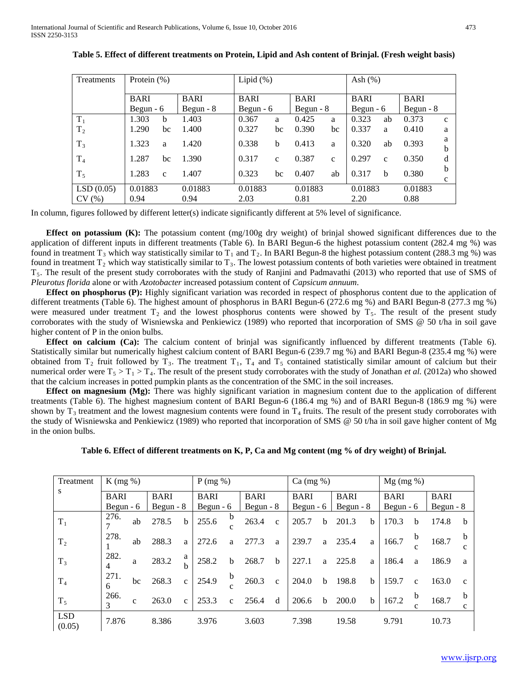| Treatments     | Protein $(\%)$ |              |             | Lipid $(\%)$ |              |             |              | Ash $(\%)$  |              |             |              |
|----------------|----------------|--------------|-------------|--------------|--------------|-------------|--------------|-------------|--------------|-------------|--------------|
|                |                |              |             |              |              |             |              |             |              |             |              |
|                | <b>BARI</b>    |              | <b>BARI</b> | <b>BARI</b>  |              | <b>BARI</b> |              | <b>BARI</b> |              | <b>BARI</b> |              |
|                | Begun $-6$     |              | Begun $-8$  | Begun $-6$   |              | Begun $-8$  |              | Begun $-6$  |              | Begun $-8$  |              |
| $T_1$          | 1.303          | b            | 1.403       | 0.367        | a            | 0.425       | a            | 0.323       | ab           | 0.373       | $\mathbf{c}$ |
| T <sub>2</sub> | 1.290          | bc           | 1.400       | 0.327        | bc           | 0.390       | bc           | 0.337       | a            | 0.410       | a            |
| $T_3$          | 1.323          | a            | 1.420       | 0.338        | b            | 0.413       | a            | 0.320       | ab           | 0.393       | a            |
|                |                |              |             |              |              |             |              |             |              |             | h            |
| T <sub>4</sub> | 1.287          | bc           | 1.390       | 0.317        | $\mathbf{c}$ | 0.387       | $\mathbf{c}$ | 0.297       | $\mathbf{c}$ | 0.350       | d            |
| $T_5$          | 1.283          | $\mathbf{c}$ | 1.407       | 0.323        | bc           | 0.407       | ab           | 0.317       | b            | 0.380       | b            |
|                |                |              |             |              |              |             |              |             |              |             | $\mathbf{C}$ |
| LSD(0.05)      | 0.01883        |              | 0.01883     | 0.01883      |              | 0.01883     |              | 0.01883     |              | 0.01883     |              |
| CV(%)          | 0.94           |              | 0.94        | 2.03         |              | 0.81        |              | 2.20        |              | 0.88        |              |

| Table 5. Effect of different treatments on Protein, Lipid and Ash content of Brinjal. (Fresh weight basis) |  |  |  |
|------------------------------------------------------------------------------------------------------------|--|--|--|
|------------------------------------------------------------------------------------------------------------|--|--|--|

In column, figures followed by different letter(s) indicate significantly different at 5% level of significance.

**Effect on potassium (K):** The potassium content (mg/100g dry weight) of brinjal showed significant differences due to the application of different inputs in different treatments (Table 6). In BARI Begun-6 the highest potassium content (282.4 mg %) was found in treatment T<sub>3</sub> which way statistically similar to T<sub>1</sub> and T<sub>2</sub>. In BARI Begun-8 the highest potassium content (288.3 mg %) was found in treatment  $T_2$  which way statistically similar to  $T_3$ . The lowest potassium contents of both varieties were obtained in treatment  $T_5$ . The result of the present study corroborates with the study of Ranjini and Padmavathi (2013) who reported that use of SMS of *Pleurotus florida* alone or with *Azotobacter* increased potassium content of *Capsicum annuum*.

**Effect on phosphorus (P):** Highly significant variation was recorded in respect of phosphorus content due to the application of different treatments (Table 6). The highest amount of phosphorus in BARI Begun-6 (272.6 mg %) and BARI Begun-8 (277.3 mg %) were measured under treatment  $T_2$  and the lowest phosphorus contents were showed by  $T_5$ . The result of the present study corroborates with the study of Wisniewska and Penkiewicz (1989) who reported that incorporation of SMS @ 50 t/ha in soil gave higher content of P in the onion bulbs.

**Effect on calcium (Ca):** The calcium content of brinjal was significantly influenced by different treatments (Table 6). Statistically similar but numerically highest calcium content of BARI Begun-6 (239.7 mg %) and BARI Begun-8 (235.4 mg %) were obtained from  $T_2$  fruit followed by  $T_3$ . The treatment  $T_1$ ,  $T_4$  and  $T_5$  contained statistically similar amount of calcium but their numerical order were  $T_5 > T_1 > T_4$ . The result of the present study corroborates with the study of Jonathan *et al.* (2012a) who showed that the calcium increases in potted pumpkin plants as the concentration of the SMC in the soil increases.

 **Effect on magnesium (Mg):** There was highly significant variation in magnesium content due to the application of different treatments (Table 6). The highest magnesium content of BARI Begun-6 (186.4 mg %) and of BARI Begun-8 (186.9 mg %) were shown by  $T_3$  treatment and the lowest magnesium contents were found in  $T_4$  fruits. The result of the present study corroborates with the study of Wisniewska and Penkiewicz (1989) who reported that incorporation of SMS @ 50 t/ha in soil gave higher content of Mg in the onion bulbs.

**Table 6. Effect of different treatments on K, P, Ca and Mg content (mg % of dry weight) of Brinjal.**

| Treatment            | $K$ (mg %)  |              |             |              | P(mg %)     |                   |             |              | $Ca \left( \frac{mg}{\pi} \right)$ |             |             |              | $Mg$ (mg %) |                  |             |                   |
|----------------------|-------------|--------------|-------------|--------------|-------------|-------------------|-------------|--------------|------------------------------------|-------------|-------------|--------------|-------------|------------------|-------------|-------------------|
| S                    | <b>BARI</b> |              | <b>BARI</b> |              | <b>BARI</b> |                   | <b>BARI</b> |              | <b>BARI</b>                        |             | <b>BARI</b> |              | <b>BARI</b> |                  | <b>BARI</b> |                   |
|                      | Begun $-6$  |              | Begun $-8$  |              | Begun $-6$  |                   | Begun $-8$  |              | Begun $-6$                         |             | Begun $-8$  |              | Begun $-6$  |                  | Begun $-8$  |                   |
| $T_1$                | 276.        | ab           | 278.5       | b            | 255.6       | b<br>$\mathbf{C}$ | 263.4       | $\mathbf{C}$ | 205.7                              | b           | 201.3       | <sub>b</sub> | 170.3       | b                | 174.8       | b                 |
| T <sub>2</sub>       | 278.        | ab           | 288.3       | a            | 272.6       | a                 | 277.3       | a            | 239.7                              | a           | 235.4       | a            | 166.7       | $\mathbf b$      | 168.7       | b<br>$\mathbf{C}$ |
| $T_3$                | 282.<br>4   | a            | 283.2       | a<br>h       | 258.2       | b                 | 268.7       | b            | 227.1                              | a           | 225.8       | a            | 186.4       | a                | 186.9       | a                 |
| T <sub>4</sub>       | 271.<br>6   | bc           | 268.3       | $\mathbf{c}$ | 254.9       | $\mathbf b$<br>C  | 260.3       | $\mathbf{C}$ | 204.0                              | $\mathbf b$ | 198.8       | <sub>b</sub> | 159.7       | $\mathbf{c}$     | 163.0       | $\mathbf{c}$      |
| $T_5$                | 266.<br>3   | $\mathbf{C}$ | 263.0       | $\mathbf{c}$ | 253.3       | $\mathbf{c}$      | 256.4       | d            | 206.6                              | b           | 200.0       | $\mathbf b$  | 167.2       | $\mathbf b$<br>c | 168.7       | b<br>$\mathbf{c}$ |
| <b>LSD</b><br>(0.05) | 7.876       |              | 8.386       |              | 3.976       |                   | 3.603       |              | 7.398                              |             | 19.58       |              | 9.791       |                  | 10.73       |                   |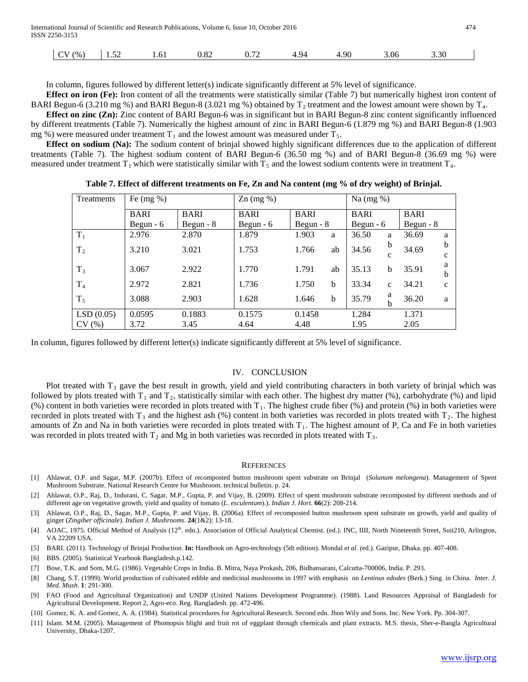| International Journal of Scientific and Research Publications, Volume 6, Issue 10, October 2016<br>474<br>ISSN 2250-3153 |              |  |      |      |      |     |      |      |      |  |  |  |
|--------------------------------------------------------------------------------------------------------------------------|--------------|--|------|------|------|-----|------|------|------|--|--|--|
|                                                                                                                          | $CV(%)$ 1.52 |  | 1.61 | 0.82 | 0.72 | 494 | 4.90 | 3.06 | 3.30 |  |  |  |

In column, figures followed by different letter(s) indicate significantly different at 5% level of significance.

**Effect on iron (Fe):** Iron content of all the treatments were statistically similar (Table 7) but numerically highest iron content of BARI Begun-6 (3.210 mg %) and BARI Begun-8 (3.021 mg %) obtained by  $T_2$  treatment and the lowest amount were shown by  $T_4$ .

**Effect on zinc (Zn):** Zinc content of BARI Begun-6 was in significant but in BARI Begun-8 zinc content significantly influenced by different treatments (Table 7). Numerically the highest amount of zinc in BARI Begun-6 (1.879 mg %) and BARI Begun-8 (1.903 mg %) were measured under treatment  $T_1$  and the lowest amount was measured under  $T_5$ .

 **Effect on sodium (Na):** The sodium content of brinjal showed highly significant differences due to the application of different treatments (Table 7). The highest sodium content of BARI Begun-6 (36.50 mg %) and of BARI Begun-8 (36.69 mg %) were measured under treatment  $T_1$  which were statistically similar with  $T_5$  and the lowest sodium contents were in treatment  $T_4$ .

**Table 7. Effect of different treatments on Fe, Zn and Na content (mg % of dry weight) of Brinjal.**

| Treatments     | Fe $(mg \%)$ |             | $\text{Zn}$ (mg %) |             | Na $(mg \%)$ |             |              |             |   |
|----------------|--------------|-------------|--------------------|-------------|--------------|-------------|--------------|-------------|---|
|                | <b>BARI</b>  | <b>BARI</b> | <b>BARI</b>        | <b>BARI</b> |              | <b>BARI</b> |              | <b>BARI</b> |   |
|                | Begun $-6$   | Begun $-8$  | Begun $-6$         | Begun $-8$  |              | Begun $-6$  |              | Begun $-8$  |   |
| $T_1$          | 2.976        | 2.870       | 1.879              | 1.903<br>a  |              | 36.50       | a            | 36.69       | a |
| T <sub>2</sub> | 3.210        | 3.021       | 1.753              | 1.766       | ab           | 34.56       | b            | 34.69       | h |
|                |              |             |                    |             |              |             | c            |             | с |
| $T_3$          | 3.067        | 2.922       | 1.770              | 1.791       | ab           | 35.13       | b            | 35.91       | а |
|                |              |             |                    |             |              |             |              |             | b |
| T <sub>4</sub> | 2.972        | 2.821       | 1.736              | 1.750<br>b  |              | 33.34       | $\mathbf{C}$ | 34.21       | c |
| $T_5$          | 3.088        | 2.903       | 1.628              | 1.646<br>b  |              | 35.79       | a<br>b       | 36.20       | a |
| LSD(0.05)      | 0.0595       | 0.1883      | 0.1575             | 0.1458      |              | 1.284       |              | 1.371       |   |
| CV(%)          | 3.72         | 3.45        | 4.64               | 4.48        |              | 1.95        |              | 2.05        |   |

In column, figures followed by different letter(s) indicate significantly different at 5% level of significance.

#### IV. CONCLUSION

Plot treated with  $T_3$  gave the best result in growth, yield and yield contributing characters in both variety of brinjal which was followed by plots treated with  $T_1$  and  $T_2$ , statistically similar with each other. The highest dry matter (%), carbohydrate (%) and lipid (%) content in both varieties were recorded in plots treated with  $T_1$ . The highest crude fiber (%) and protein (%) in both varieties were recorded in plots treated with  $T_3$  and the highest ash (%) content in both varieties was recorded in plots treated with  $T_2$ . The highest amounts of Zn and Na in both varieties were recorded in plots treated with  $T_1$ . The highest amount of P, Ca and Fe in both varieties was recorded in plots treated with  $T_2$  and Mg in both varieties was recorded in plots treated with  $T_3$ .

#### **REFERENCES**

- [1] Ahlawat, O.P. and Sagar, M.P. (2007b). Effect of recomposted button mushroom spent substrate on Brinjal (*Solanum melongena*). Management of Spent Mushroom Substrate. National Research Centre for Mushroom. technical bulletin. p. 24.
- [2] Ahlawat, O.P., Raj, D., Indurani, C. Sagar, M.P., Gupta, P. and Vijay, B. (2009). Effect of spent mushroom substrate recomposted by different methods and of different age on vegetative growth, yield and quality of tomato (*L. esculentum*).). *Indian J. Hort.* **66**(2): 208-214.
- [3] Ahlawat, O.P., Raj, D., Sagar, M.P., Gupta, P. and Vijay, B. (2006a). Effect of recomposted button mushroom spent substrate on growth, yield and quality of ginger (*Zingiber officinale*). *Indian J. Mushrooms*. **24**(1&2): 13-18.
- [4] AOAC, 1975. Official Method of Analysis (12<sup>th</sup>. edn.). Association of Official Analytical Chemist. (ed.). INC, IIII, North Nineteenth Street, Suit210, Arlington, VA 22209 USA.
- [5] BARI. (2011). Technology of Brinjal Production. **In:** Handbook on Agro-technology (5th edition). Mondal *et al. (*ed.). Gazipur, Dhaka. pp. 407-408.
- [6] BBS. (2005). Statistical Yearbook Bangladesh.p.142.
- [7] Bose, T.K. and Som, M.G. (1986). Vegetable Crops in India. B. Mitra, Naya Prokash, 206, Bidhansarani, Calcutta-700006, India. P. 293.
- [8] Chang, S.T. (1999). World production of cultivated edible and medicinal mushrooms in 1997 with emphasis on *Lentinus edodes* (Berk.) Sing. in China. *Inter. J. Med. Mush*. **1**: 291-300.
- [9] FAO (Food and Agricultural Organization) and UNDP (United Nations Development Programme). (1988). Land Resources Appraisal of Bangladesh for Agricultural Development. Report 2, Agro-eco. Reg. Bangladesh. pp. 472-496.
- [10] Gomez, K. A. and Gomez, A. A. (1984). Statistical procedures for Agricultural Research. Second edn. Jhon Wily and Sons. Inc. New York. Pp. 304-307.
- [11] Islam. M.M. (2005). Management of Phomopsis blight and fruit rot of eggplant through chemicals and plant extracts. M.S. thesis, Sher-e-Bangla Agricultural University, Dhaka-1207.